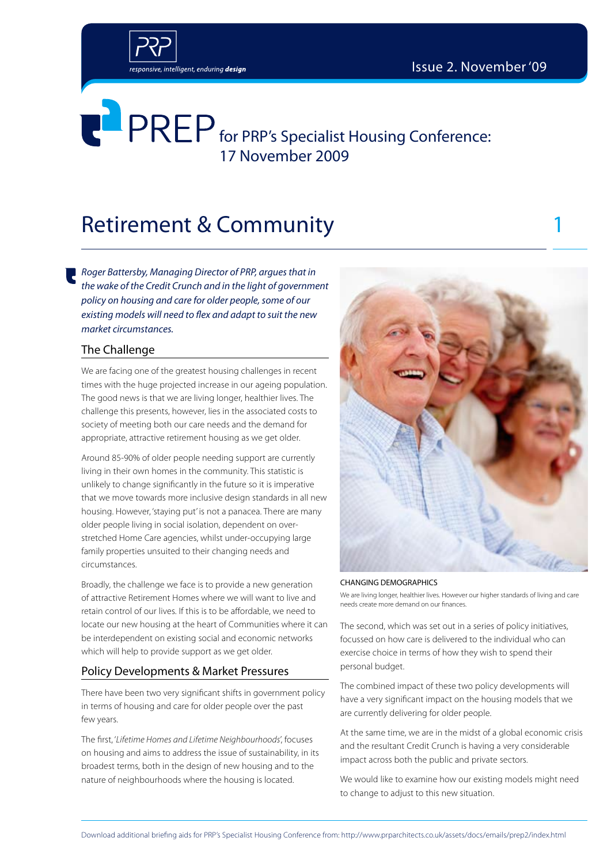

## Retirement & Community 1

*Roger Battersby, Managing Director of PRP, argues that in the wake of the Credit Crunch and in the light of government policy on housing and care for older people, some of our existing models will need to flex and adapt to suit the new market circumstances.*

### The Challenge

We are facing one of the greatest housing challenges in recent times with the huge projected increase in our ageing population. The good news is that we are living longer, healthier lives. The challenge this presents, however, lies in the associated costs to society of meeting both our care needs and the demand for appropriate, attractive retirement housing as we get older.

Around 85-90% of older people needing support are currently living in their own homes in the community. This statistic is unlikely to change significantly in the future so it is imperative that we move towards more inclusive design standards in all new housing. However, 'staying put' is not a panacea. There are many older people living in social isolation, dependent on overstretched Home Care agencies, whilst under-occupying large family properties unsuited to their changing needs and circumstances.

Broadly, the challenge we face is to provide a new generation of attractive Retirement Homes where we will want to live and retain control of our lives. If this is to be affordable, we need to locate our new housing at the heart of Communities where it can be interdependent on existing social and economic networks which will help to provide support as we get older.

### Policy Developments & Market Pressures

There have been two very significant shifts in government policy in terms of housing and care for older people over the past few years.

The first, '*Lifetime Homes and Lifetime Neighbourhoods*', focuses on housing and aims to address the issue of sustainability, in its broadest terms, both in the design of new housing and to the nature of neighbourhoods where the housing is located.



#### CHANGING DEMOGRAPHICS

We are living longer, healthier lives. However our higher standards of living and care needs create more demand on our finances.

The second, which was set out in a series of policy initiatives, focussed on how care is delivered to the individual who can exercise choice in terms of how they wish to spend their personal budget.

The combined impact of these two policy developments will have a very significant impact on the housing models that we are currently delivering for older people.

At the same time, we are in the midst of a global economic crisis and the resultant Credit Crunch is having a very considerable impact across both the public and private sectors.

We would like to examine how our existing models might need to change to adjust to this new situation.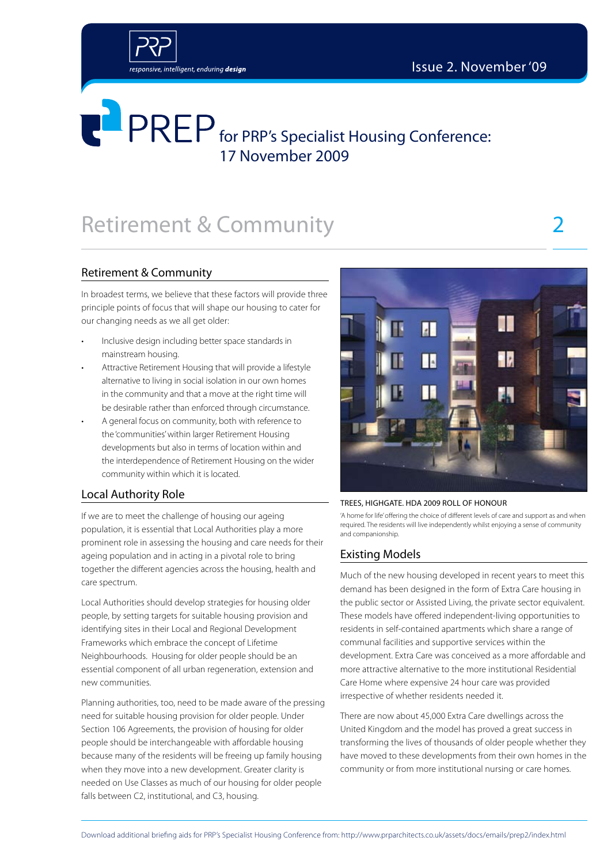

## Retirement & Community 2

### Retirement & Community

In broadest terms, we believe that these factors will provide three principle points of focus that will shape our housing to cater for our changing needs as we all get older:

- Inclusive design including better space standards in mainstream housing.
- Attractive Retirement Housing that will provide a lifestyle alternative to living in social isolation in our own homes in the community and that a move at the right time will be desirable rather than enforced through circumstance.
- A general focus on community, both with reference to the 'communities' within larger Retirement Housing developments but also in terms of location within and the interdependence of Retirement Housing on the wider community within which it is located.

### Local Authority Role

If we are to meet the challenge of housing our ageing population, it is essential that Local Authorities play a more prominent role in assessing the housing and care needs for their ageing population and in acting in a pivotal role to bring together the different agencies across the housing, health and care spectrum.

Local Authorities should develop strategies for housing older people, by setting targets for suitable housing provision and identifying sites in their Local and Regional Development Frameworks which embrace the concept of Lifetime Neighbourhoods. Housing for older people should be an essential component of all urban regeneration, extension and new communities.

Planning authorities, too, need to be made aware of the pressing need for suitable housing provision for older people. Under Section 106 Agreements, the provision of housing for older people should be interchangeable with affordable housing because many of the residents will be freeing up family housing when they move into a new development. Greater clarity is needed on Use Classes as much of our housing for older people falls between C2, institutional, and C3, housing.



#### Trees, Highgate. HDA 2009 Roll of Honour

'A home for life' offering the choice of different levels of care and support as and when required. The residents will live independently whilst enjoying a sense of community and companionship.

### Existing Models

Much of the new housing developed in recent years to meet this demand has been designed in the form of Extra Care housing in the public sector or Assisted Living, the private sector equivalent. These models have offered independent-living opportunities to residents in self-contained apartments which share a range of communal facilities and supportive services within the development. Extra Care was conceived as a more affordable and more attractive alternative to the more institutional Residential Care Home where expensive 24 hour care was provided irrespective of whether residents needed it.

There are now about 45,000 Extra Care dwellings across the United Kingdom and the model has proved a great success in transforming the lives of thousands of older people whether they have moved to these developments from their own homes in the community or from more institutional nursing or care homes.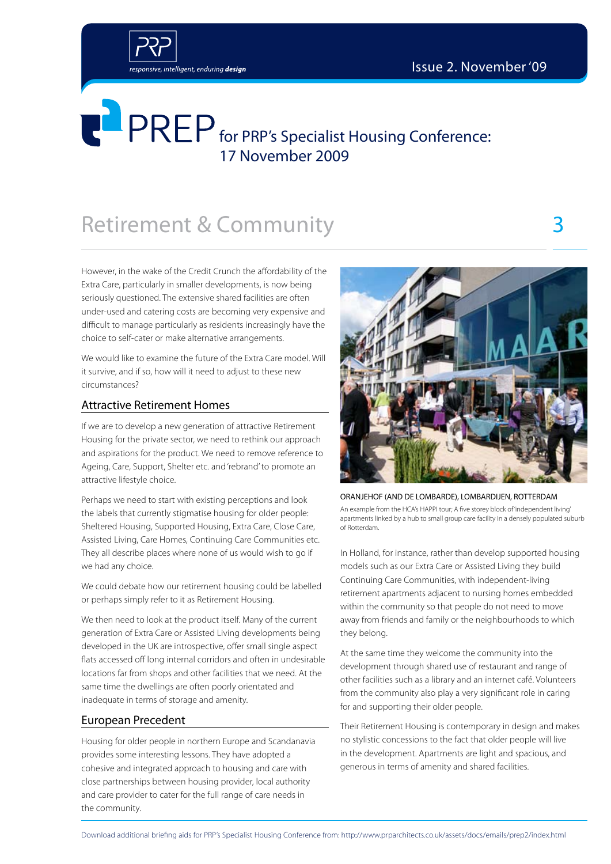

## **Retirement & Community**

However, in the wake of the Credit Crunch the affordability of the Extra Care, particularly in smaller developments, is now being seriously questioned. The extensive shared facilities are often under-used and catering costs are becoming very expensive and difficult to manage particularly as residents increasingly have the choice to self-cater or make alternative arrangements.

We would like to examine the future of the Extra Care model. Will it survive, and if so, how will it need to adjust to these new circumstances?

### Attractive Retirement Homes

If we are to develop a new generation of attractive Retirement Housing for the private sector, we need to rethink our approach and aspirations for the product. We need to remove reference to Ageing, Care, Support, Shelter etc. and 'rebrand' to promote an attractive lifestyle choice.

Perhaps we need to start with existing perceptions and look the labels that currently stigmatise housing for older people: Sheltered Housing, Supported Housing, Extra Care, Close Care, Assisted Living, Care Homes, Continuing Care Communities etc. They all describe places where none of us would wish to go if we had any choice.

We could debate how our retirement housing could be labelled or perhaps simply refer to it as Retirement Housing.

We then need to look at the product itself. Many of the current generation of Extra Care or Assisted Living developments being developed in the UK are introspective, offer small single aspect flats accessed off long internal corridors and often in undesirable locations far from shops and other facilities that we need. At the same time the dwellings are often poorly orientated and inadequate in terms of storage and amenity.

### European Precedent

Housing for older people in northern Europe and Scandanavia provides some interesting lessons. They have adopted a cohesive and integrated approach to housing and care with close partnerships between housing provider, local authority and care provider to cater for the full range of care needs in the community.



ORANJEHOF (AND DE LOMBARDE), LOMBARDIJEN, ROTTERDAM An example from the HCA's HAPPI tour; A five storey block of 'independent living' apartments linked by a hub to small group care facility in a densely populated suburb of Rotterdam.

In Holland, for instance, rather than develop supported housing models such as our Extra Care or Assisted Living they build Continuing Care Communities, with independent-living retirement apartments adjacent to nursing homes embedded within the community so that people do not need to move away from friends and family or the neighbourhoods to which they belong.

At the same time they welcome the community into the development through shared use of restaurant and range of other facilities such as a library and an internet café. Volunteers from the community also play a very significant role in caring for and supporting their older people.

Their Retirement Housing is contemporary in design and makes no stylistic concessions to the fact that older people will live in the development. Apartments are light and spacious, and generous in terms of amenity and shared facilities.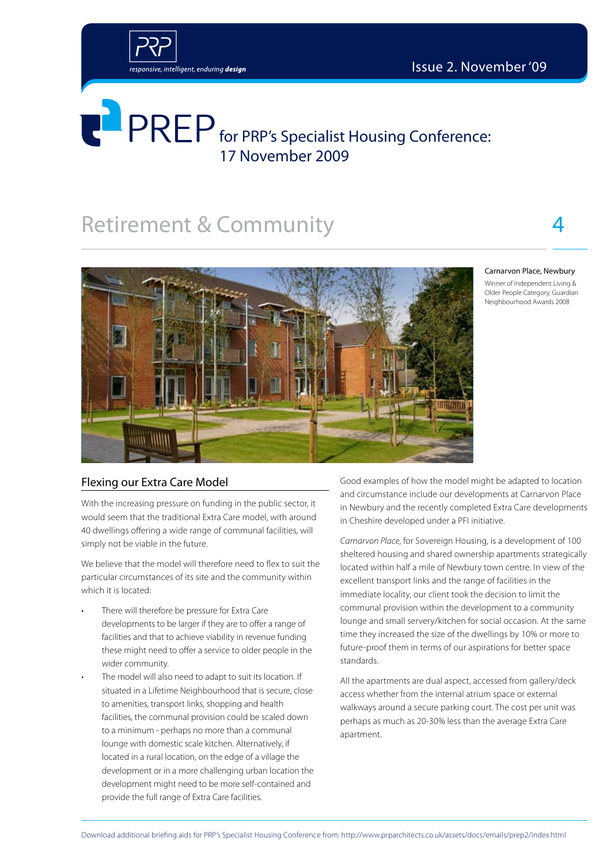

## Retirement & Community 4



#### Carnarvon Place, Newbury

Winner of Independent Living & Older People Category, Guardian Neighbourhood Awards 2008

### Flexing our Extra Care Model

With the increasing pressure on funding in the public sector, it would seem that the traditional Extra Care model, with around 40 dwellings offering a wide range of communal facilities, will simply not be viable in the future.

We believe that the model will therefore need to flex to suit the particular circumstances of its site and the community within which it is located:

- There will therefore be pressure for Extra Care developments to be larger if they are to offer a range of facilities and that to achieve viability in revenue funding these might need to offer a service to older people in the wider community.
- The model will also need to adapt to suit its location. If situated in a Lifetime Neighbourhood that is secure, close to amenities, transport links, shopping and health facilities, the communal provision could be scaled down to a minimum - perhaps no more than a communal lounge with domestic scale kitchen. Alternatively, if located in a rural location, on the edge of a village the development or in a more challenging urban location the development might need to be more self-contained and provide the full range of Extra Care facilities.

Good examples of how the model might be adapted to location and circumstance include our developments at Carnarvon Place in Newbury and the recently completed Extra Care developments in Cheshire developed under a PFI initiative.

*Carnarvon Place*, for Sovereign Housing, is a development of 100 sheltered housing and shared ownership apartments strategically located within half a mile of Newbury town centre. In view of the excellent transport links and the range of facilities in the immediate locality, our client took the decision to limit the communal provision within the development to a community lounge and small servery/kitchen for social occasion. At the same time they increased the size of the dwellings by 10% or more to future-proof them in terms of our aspirations for better space standards.

All the apartments are dual aspect, accessed from gallery/deck access whether from the internal atrium space or external walkways around a secure parking court. The cost per unit was perhaps as much as 20-30% less than the average Extra Care apartment.